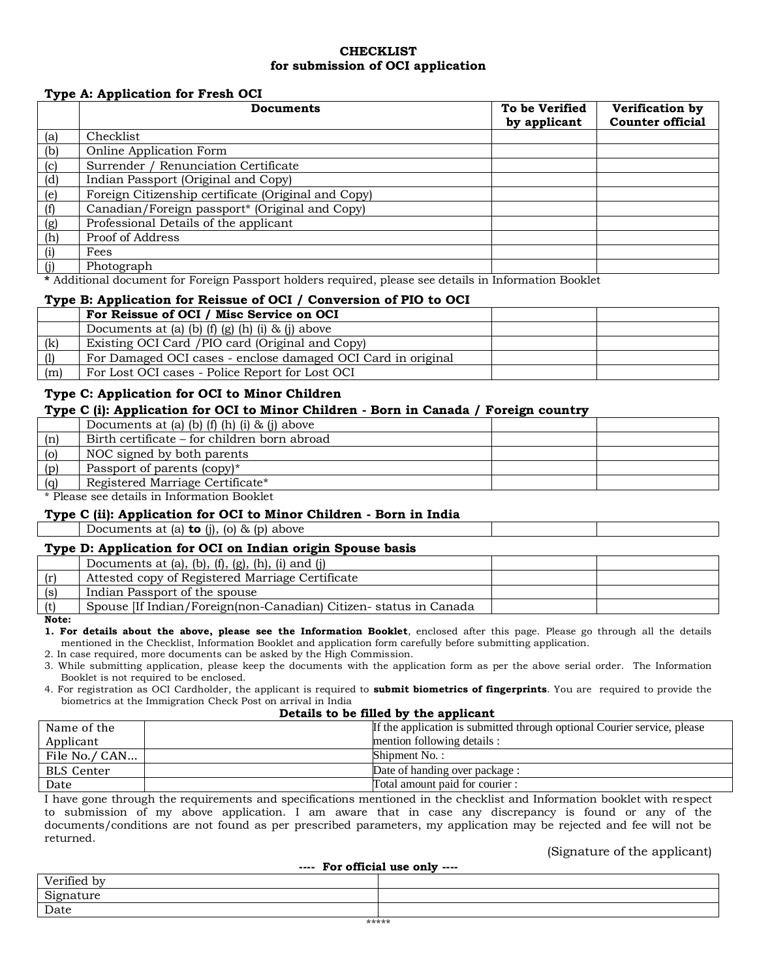### **CHECKLIST for submission of OCI application**

### **Type A: Application for Fresh OCI**

|     | <b>Documents</b>                                    | To be Verified<br>by applicant | Verification by<br><b>Counter official</b> |
|-----|-----------------------------------------------------|--------------------------------|--------------------------------------------|
| (a) | Checklist                                           |                                |                                            |
| (b) | Online Application Form                             |                                |                                            |
| (c) | Surrender / Renunciation Certificate                |                                |                                            |
| (d) | Indian Passport (Original and Copy)                 |                                |                                            |
| (e) | Foreign Citizenship certificate (Original and Copy) |                                |                                            |
| (f) | Canadian/Foreign passport* (Original and Copy)      |                                |                                            |
| (g) | Professional Details of the applicant               |                                |                                            |
| (h) | Proof of Address                                    |                                |                                            |
| (i) | Fees                                                |                                |                                            |
|     | Photograph                                          |                                |                                            |

**\*** Additional document for Foreign Passport holders required, please see details in Information Booklet

#### **Type B: Application for Reissue of OCI / Conversion of PIO to OCI**

|     | For Reissue of OCI / Misc Service on OCI                     |  |
|-----|--------------------------------------------------------------|--|
|     | Documents at (a) (b) (f) (g) (h) (i) $\&$ (j) above          |  |
| (k) | Existing OCI Card / PIO card (Original and Copy)             |  |
| (1) | For Damaged OCI cases - enclose damaged OCI Card in original |  |
| (m) | For Lost OCI cases - Police Report for Lost OCI              |  |

### **Type C: Application for OCI to Minor Children**

#### **Type C (i): Application for OCI to Minor Children - Born in Canada / Foreign country**

|     | Documents at (a) (b) (f) (h) (i) $\&$ (j) above |  |
|-----|-------------------------------------------------|--|
| (n) | Birth certificate – for children born abroad    |  |
| (o) | NOC signed by both parents                      |  |
| (p) | Passport of parents (copy)*                     |  |
| (a) | Registered Marriage Certificate*                |  |
|     |                                                 |  |

\* Please see details in Information Booklet

### **Type C (ii): Application for OCI to Minor Children - Born in India**

Documents at (a) **to** (j), (o) & (p) above

### **Type D: Application for OCI on Indian origin Spouse basis**

| Documents at (a), (b), $(f)$ , $(g)$ , $(h)$ , $(i)$ and $(j)$                    |  |
|-----------------------------------------------------------------------------------|--|
| (r)<br>Attested copy of Registered Marriage Certificate                           |  |
| (s)<br>Indian Passport of the spouse                                              |  |
| Spouse <i>IIf Indian/Foreign/non-Canadian</i> ) Citizen-status in Canada<br>$(+)$ |  |

**Note:**

**1. For details about the above, please see the Information Booklet**, enclosed after this page. Please go through all the details mentioned in the Checklist, Information Booklet and application form carefully before submitting application.

2. In case required, more documents can be asked by the High Commission.

3. While submitting application, please keep the documents with the application form as per the above serial order. The Information Booklet is not required to be enclosed.

4. For registration as OCI Cardholder, the applicant is required to **submit biometrics of fingerprints**. You are required to provide the biometrics at the Immigration Check Post on arrival in India

#### **Details to be filled by the applicant**

| Name of the       | If the application is submitted through optional Courier service, please |
|-------------------|--------------------------------------------------------------------------|
| Applicant         | mention following details :                                              |
| File No./ CAN     | Shipment No.:                                                            |
| <b>BLS</b> Center | Date of handing over package:                                            |
| Date              | Total amount paid for courier :                                          |

I have gone through the requirements and specifications mentioned in the checklist and Information booklet with respect to submission of my above application. I am aware that in case any discrepancy is found or any of the documents/conditions are not found as per prescribed parameters, my application may be rejected and fee will not be returned.

### (Signature of the applicant)

| ---- For official use only ---- |  |  |
|---------------------------------|--|--|
| Verified by                     |  |  |
| Signature                       |  |  |
| Date                            |  |  |
| .                               |  |  |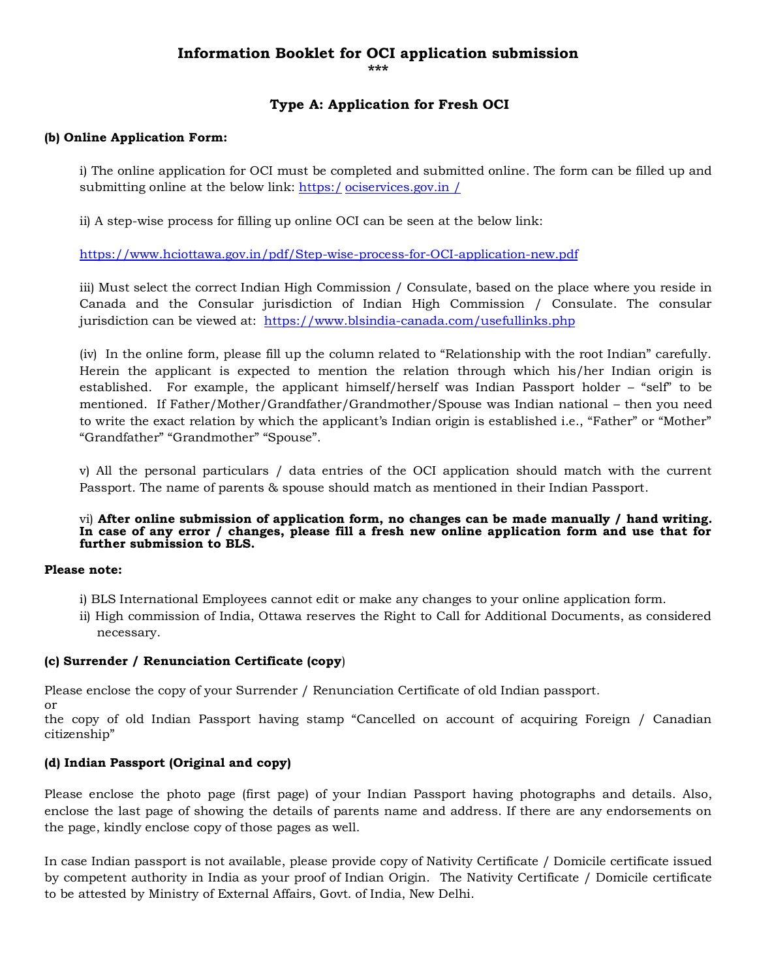# **Information Booklet for OCI application submission \*\*\***

## **Type A: Application for Fresh OCI**

### **(b) Online Application Form:**

i) The online application for OCI must be completed and submitted online. The form can be filled up and submitting online at the below link: https:/ [ociservices.gov.in /](https://embassy.passportindia.gov.in/)

ii) A step-wise process for filling up online OCI can be seen at the below link:

<https://www.hciottawa.gov.in/pdf/Step-wise-process-for-OCI-application-new.pdf>

iii) Must select the correct Indian High Commission / Consulate, based on the place where you reside in Canada and the Consular jurisdiction of Indian High Commission / Consulate. The consular jurisdiction can be viewed at: <https://www.blsindia-canada.com/usefullinks.php>

(iv) In the online form, please fill up the column related to "Relationship with the root Indian" carefully. Herein the applicant is expected to mention the relation through which his/her Indian origin is established. For example, the applicant himself/herself was Indian Passport holder – "self" to be mentioned. If Father/Mother/Grandfather/Grandmother/Spouse was Indian national – then you need to write the exact relation by which the applicant's Indian origin is established i.e., "Father" or "Mother" "Grandfather" "Grandmother" "Spouse".

v) All the personal particulars / data entries of the OCI application should match with the current Passport. The name of parents & spouse should match as mentioned in their Indian Passport.

#### vi) **After online submission of application form, no changes can be made manually / hand writing. In case of any error / changes, please fill a fresh new online application form and use that for further submission to BLS.**

### **Please note:**

or

- i) BLS International Employees cannot edit or make any changes to your online application form.
- ii) High commission of India, Ottawa reserves the Right to Call for Additional Documents, as considered necessary.

### **(c) Surrender / Renunciation Certificate (copy**)

Please enclose the copy of your Surrender / Renunciation Certificate of old Indian passport.

the copy of old Indian Passport having stamp "Cancelled on account of acquiring Foreign / Canadian citizenship"

## **(d) Indian Passport (Original and copy)**

Please enclose the photo page (first page) of your Indian Passport having photographs and details. Also, enclose the last page of showing the details of parents name and address. If there are any endorsements on the page, kindly enclose copy of those pages as well.

In case Indian passport is not available, please provide copy of Nativity Certificate / Domicile certificate issued by competent authority in India as your proof of Indian Origin. The Nativity Certificate / Domicile certificate to be attested by Ministry of External Affairs, Govt. of India, New Delhi.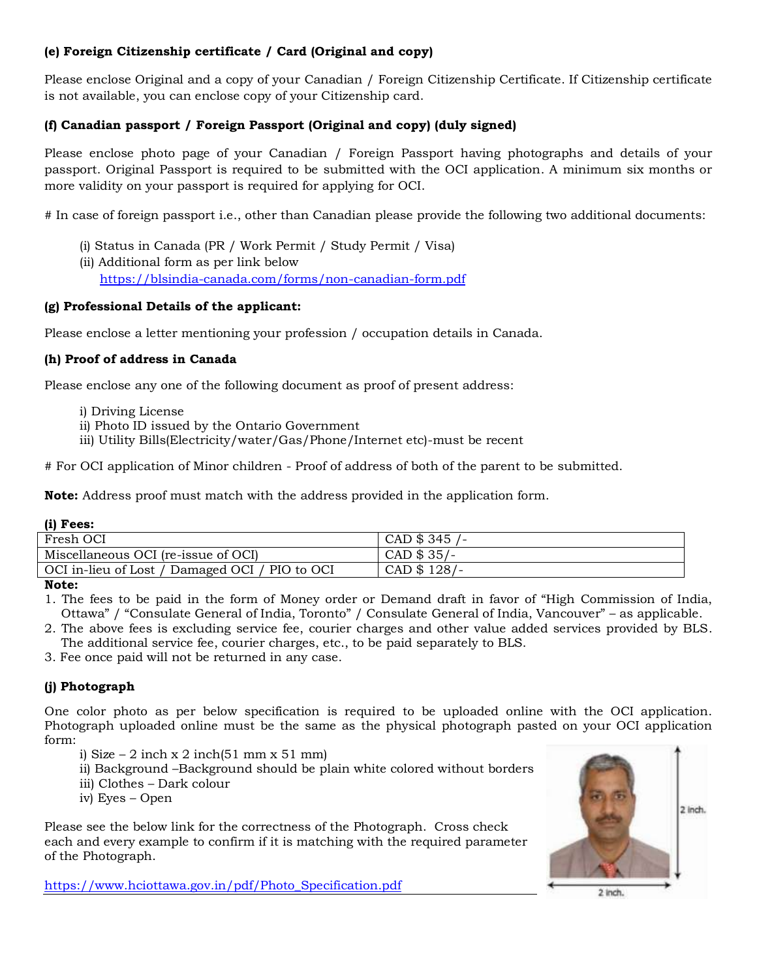## **(e) Foreign Citizenship certificate / Card (Original and copy)**

Please enclose Original and a copy of your Canadian / Foreign Citizenship Certificate. If Citizenship certificate is not available, you can enclose copy of your Citizenship card.

## **(f) Canadian passport / Foreign Passport (Original and copy) (duly signed)**

Please enclose photo page of your Canadian / Foreign Passport having photographs and details of your passport. Original Passport is required to be submitted with the OCI application. A minimum six months or more validity on your passport is required for applying for OCI.

# In case of foreign passport i.e., other than Canadian please provide the following two additional documents:

- (i) Status in Canada (PR / Work Permit / Study Permit / Visa)
- (ii) Additional form as per link below <https://blsindia-canada.com/forms/non-canadian-form.pdf>

## **(g) Professional Details of the applicant:**

Please enclose a letter mentioning your profession / occupation details in Canada.

## **(h) Proof of address in Canada**

Please enclose any one of the following document as proof of present address:

- i) Driving License
- ii) Photo ID issued by the Ontario Government
- iii) Utility Bills(Electricity/water/Gas/Phone/Internet etc)-must be recent

# For OCI application of Minor children - Proof of address of both of the parent to be submitted.

**Note:** Address proof must match with the address provided in the application form.

| (i) Fees:                                      |                |
|------------------------------------------------|----------------|
| Fresh OCI                                      | CAD \$ 345 /-  |
| Miscellaneous OCI (re-issue of OCI)            | $CAD$ \$ 35/-  |
| OCI in-lieu of Lost / Damaged OCI / PIO to OCI | $CAD$ \$ 128/- |

**Note:**

- 1. The fees to be paid in the form of Money order or Demand draft in favor of "High Commission of India, Ottawa" / "Consulate General of India, Toronto" / Consulate General of India, Vancouver" – as applicable.
- 2. The above fees is excluding service fee, courier charges and other value added services provided by BLS. The additional service fee, courier charges, etc., to be paid separately to BLS.

3. Fee once paid will not be returned in any case.

## **(j) Photograph**

One color photo as per below specification is required to be uploaded online with the OCI application. Photograph uploaded online must be the same as the physical photograph pasted on your OCI application form:

i) Size – 2 inch x 2 inch(51 mm x 51 mm)

- ii) Background –Background should be plain white colored without borders
- iii) Clothes Dark colour
- iv) Eyes Open

Please see the below link for the correctness of the Photograph. Cross check each and every example to confirm if it is matching with the required parameter of the Photograph.

[https://www.hciottawa.gov.in/pdf/Photo\\_Specification.pdf](https://www.hciottawa.gov.in/pdf/Photo_Specification.pdf)

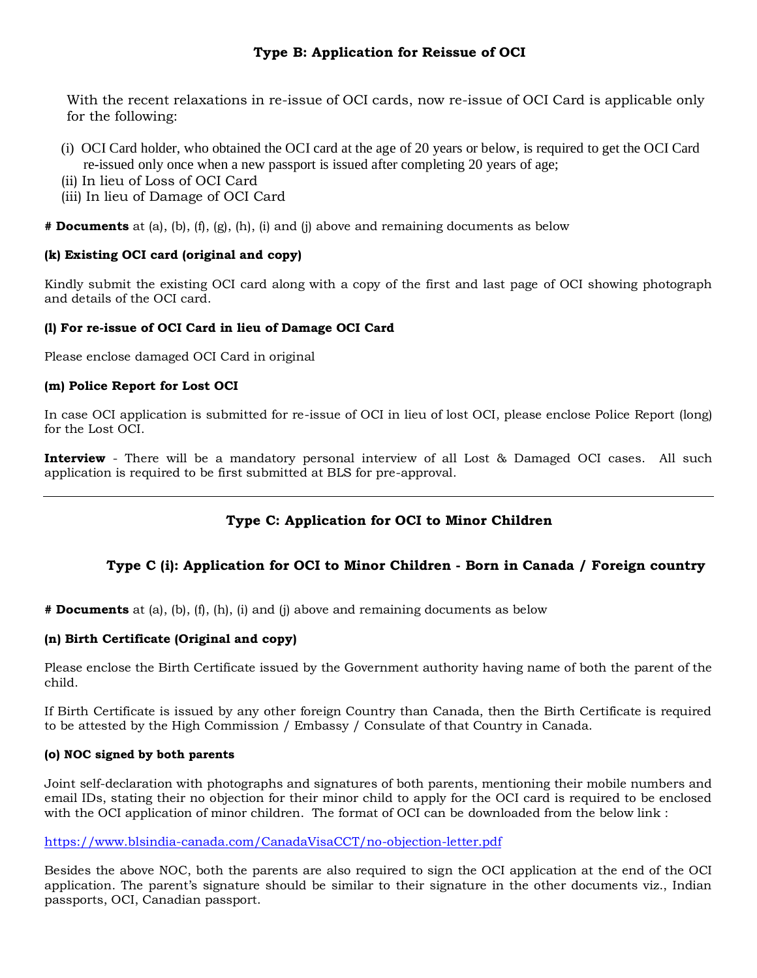With the recent relaxations in re-issue of OCI cards, now re-issue of OCI Card is applicable only for the following:

- (i) OCI Card holder, who obtained the OCI card at the age of 20 years or below, is required to get the OCI Card re-issued only once when a new passport is issued after completing 20 years of age;
- (ii) In lieu of Loss of OCI Card
- (iii) In lieu of Damage of OCI Card

**# Documents** at (a), (b), (f), (g), (h), (i) and (j) above and remaining documents as below

## **(k) Existing OCI card (original and copy)**

Kindly submit the existing OCI card along with a copy of the first and last page of OCI showing photograph and details of the OCI card.

## **(l) For re-issue of OCI Card in lieu of Damage OCI Card**

Please enclose damaged OCI Card in original

### **(m) Police Report for Lost OCI**

In case OCI application is submitted for re-issue of OCI in lieu of lost OCI, please enclose Police Report (long) for the Lost OCI.

**Interview** - There will be a mandatory personal interview of all Lost & Damaged OCI cases. All such application is required to be first submitted at BLS for pre-approval.

# **Type C: Application for OCI to Minor Children**

## **Type C (i): Application for OCI to Minor Children - Born in Canada / Foreign country**

**# Documents** at (a), (b), (f), (h), (i) and (j) above and remaining documents as below

## **(n) Birth Certificate (Original and copy)**

Please enclose the Birth Certificate issued by the Government authority having name of both the parent of the child.

If Birth Certificate is issued by any other foreign Country than Canada, then the Birth Certificate is required to be attested by the High Commission / Embassy / Consulate of that Country in Canada.

### **(o) NOC signed by both parents**

Joint self-declaration with photographs and signatures of both parents, mentioning their mobile numbers and email IDs, stating their no objection for their minor child to apply for the OCI card is required to be enclosed with the OCI application of minor children. The format of OCI can be downloaded from the below link :

### <https://www.blsindia-canada.com/CanadaVisaCCT/no-objection-letter.pdf>

Besides the above NOC, both the parents are also required to sign the OCI application at the end of the OCI application. The parent's signature should be similar to their signature in the other documents viz., Indian passports, OCI, Canadian passport.